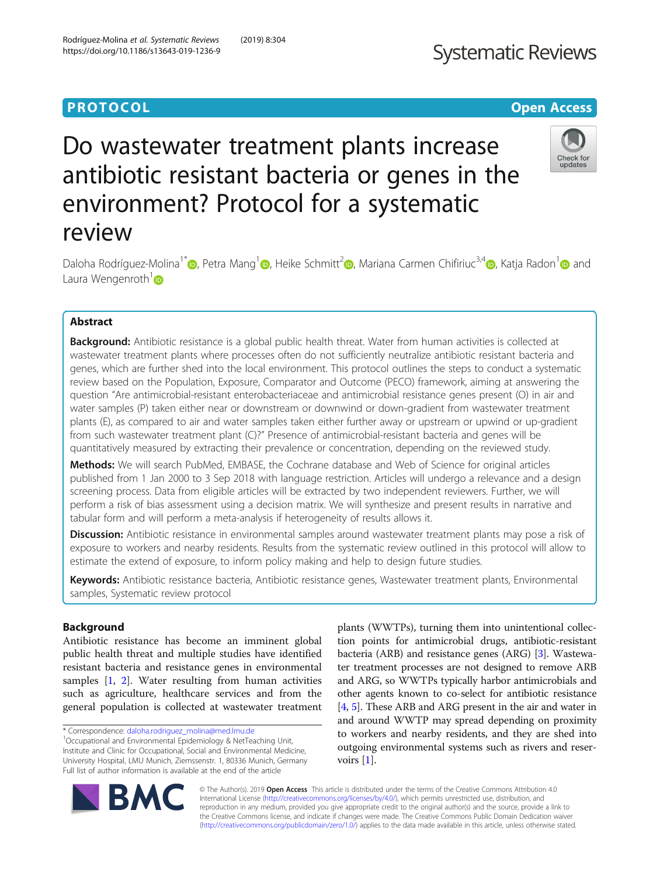## **PROTOCOL CONSIDERING CONSIDERING CONSIDERING CONSIDERING CONSIDERING CONSIDERING CONSIDERING CONSIDERING CONSIDERING CONSIDERING CONSIDERING CONSIDERING CONSIDERING CONSIDERING CONSIDERING CONSIDERING CONSIDERING CONSID**

## **Systematic Reviews**

# Do wastewater treatment plants increase antibiotic resistant bacteria or genes in the environment? Protocol for a systematic review



Daloha Rodríguez-Molina<sup>1[\\*](http://orcid.org/0000-0002-5355-0474)</sup> <sub>(b</sub>[,](http://orcid.org/0000-0003-2623-9143) Petra Mang<sup>1</sup> <sub>(b</sub>, Heike Schmitt<sup>[2](http://orcid.org/0000-0002-1699-7832)</sup> <sub>(b</sub>, Mariana Carmen Chifiriuc<sup>3,[4](http://orcid.org/0000-0001-6098-1857)</sup> (b, Katja Radon<sup>1</sup> (b) and Laura Wengenroth $1\text{O}$ 

## Abstract

Background: Antibiotic resistance is a global public health threat. Water from human activities is collected at wastewater treatment plants where processes often do not sufficiently neutralize antibiotic resistant bacteria and genes, which are further shed into the local environment. This protocol outlines the steps to conduct a systematic review based on the Population, Exposure, Comparator and Outcome (PECO) framework, aiming at answering the question "Are antimicrobial-resistant enterobacteriaceae and antimicrobial resistance genes present (O) in air and water samples (P) taken either near or downstream or downwind or down-gradient from wastewater treatment plants (E), as compared to air and water samples taken either further away or upstream or upwind or up-gradient from such wastewater treatment plant (C)?" Presence of antimicrobial-resistant bacteria and genes will be quantitatively measured by extracting their prevalence or concentration, depending on the reviewed study.

Methods: We will search PubMed, EMBASE, the Cochrane database and Web of Science for original articles published from 1 Jan 2000 to 3 Sep 2018 with language restriction. Articles will undergo a relevance and a design screening process. Data from eligible articles will be extracted by two independent reviewers. Further, we will perform a risk of bias assessment using a decision matrix. We will synthesize and present results in narrative and tabular form and will perform a meta-analysis if heterogeneity of results allows it.

Discussion: Antibiotic resistance in environmental samples around wastewater treatment plants may pose a risk of exposure to workers and nearby residents. Results from the systematic review outlined in this protocol will allow to estimate the extend of exposure, to inform policy making and help to design future studies.

Keywords: Antibiotic resistance bacteria, Antibiotic resistance genes, Wastewater treatment plants, Environmental samples, Systematic review protocol

### Background

Antibiotic resistance has become an imminent global public health threat and multiple studies have identified resistant bacteria and resistance genes in environmental samples [\[1](#page-7-0), [2](#page-7-0)]. Water resulting from human activities such as agriculture, healthcare services and from the general population is collected at wastewater treatment

plants (WWTPs), turning them into unintentional collection points for antimicrobial drugs, antibiotic-resistant bacteria (ARB) and resistance genes (ARG) [[3](#page-7-0)]. Wastewater treatment processes are not designed to remove ARB and ARG, so WWTPs typically harbor antimicrobials and other agents known to co-select for antibiotic resistance [[4,](#page-7-0) [5](#page-7-0)]. These ARB and ARG present in the air and water in and around WWTP may spread depending on proximity to workers and nearby residents, and they are shed into outgoing environmental systems such as rivers and reservoirs [[1](#page-7-0)].



© The Author(s). 2019 Open Access This article is distributed under the terms of the Creative Commons Attribution 4.0 International License [\(http://creativecommons.org/licenses/by/4.0/](http://creativecommons.org/licenses/by/4.0/)), which permits unrestricted use, distribution, and reproduction in any medium, provided you give appropriate credit to the original author(s) and the source, provide a link to the Creative Commons license, and indicate if changes were made. The Creative Commons Public Domain Dedication waiver [\(http://creativecommons.org/publicdomain/zero/1.0/](http://creativecommons.org/publicdomain/zero/1.0/)) applies to the data made available in this article, unless otherwise stated.

<sup>\*</sup> Correspondence: [daloha.rodriguez\\_molina@med.lmu.de](mailto:daloha.rodriguez_molina@med.lmu.de) <sup>1</sup>

<sup>&</sup>lt;sup>1</sup>Occupational and Environmental Epidemiology & NetTeaching Unit, Institute and Clinic for Occupational, Social and Environmental Medicine, University Hospital, LMU Munich, Ziemssenstr. 1, 80336 Munich, Germany Full list of author information is available at the end of the article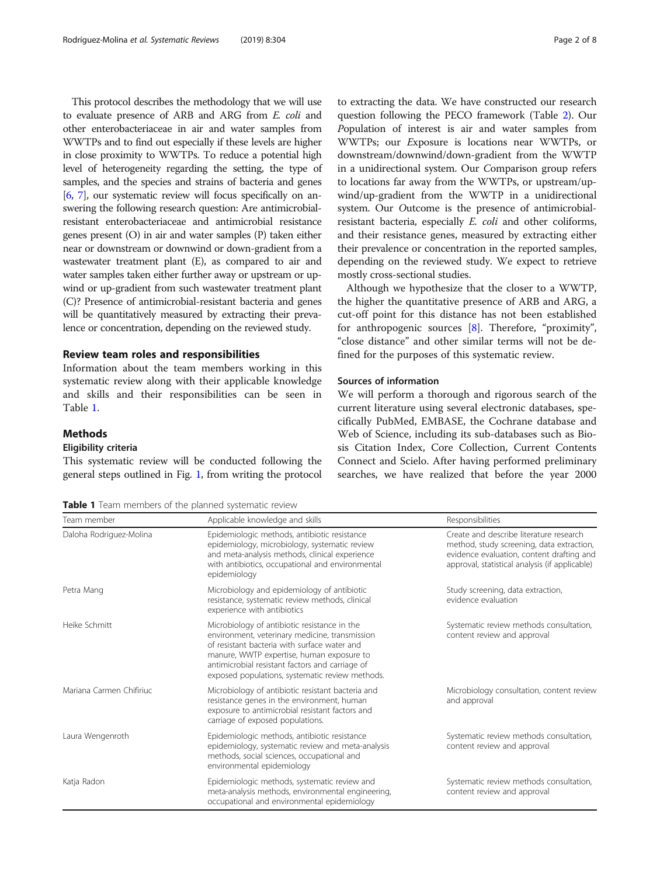This protocol describes the methodology that we will use to evaluate presence of ARB and ARG from E. coli and other enterobacteriaceae in air and water samples from WWTPs and to find out especially if these levels are higher in close proximity to WWTPs. To reduce a potential high level of heterogeneity regarding the setting, the type of samples, and the species and strains of bacteria and genes [[6](#page-7-0), [7](#page-7-0)], our systematic review will focus specifically on answering the following research question: Are antimicrobialresistant enterobacteriaceae and antimicrobial resistance genes present (O) in air and water samples (P) taken either near or downstream or downwind or down-gradient from a wastewater treatment plant (E), as compared to air and water samples taken either further away or upstream or upwind or up-gradient from such wastewater treatment plant (C)? Presence of antimicrobial-resistant bacteria and genes will be quantitatively measured by extracting their prevalence or concentration, depending on the reviewed study.

#### Review team roles and responsibilities

Information about the team members working in this systematic review along with their applicable knowledge and skills and their responsibilities can be seen in Table 1.

#### Methods

#### Eligibility criteria

This systematic review will be conducted following the general steps outlined in Fig. [1](#page-2-0), from writing the protocol

to extracting the data. We have constructed our research question following the PECO framework (Table [2\)](#page-2-0). Our Population of interest is air and water samples from WWTPs; our Exposure is locations near WWTPs, or downstream/downwind/down-gradient from the WWTP in a unidirectional system. Our Comparison group refers to locations far away from the WWTPs, or upstream/upwind/up-gradient from the WWTP in a unidirectional system. Our Outcome is the presence of antimicrobialresistant bacteria, especially E. coli and other coliforms, and their resistance genes, measured by extracting either their prevalence or concentration in the reported samples, depending on the reviewed study. We expect to retrieve mostly cross-sectional studies.

Although we hypothesize that the closer to a WWTP, the higher the quantitative presence of ARB and ARG, a cut-off point for this distance has not been established for anthropogenic sources [[8\]](#page-7-0). Therefore, "proximity", "close distance" and other similar terms will not be defined for the purposes of this systematic review.

#### Sources of information

We will perform a thorough and rigorous search of the current literature using several electronic databases, specifically PubMed, EMBASE, the Cochrane database and Web of Science, including its sub-databases such as Biosis Citation Index, Core Collection, Current Contents Connect and Scielo. After having performed preliminary searches, we have realized that before the year 2000

Table 1 Team members of the planned systematic review

| Team member              | Applicable knowledge and skills                                                                                                                                                                                                                                                                   | Responsibilities                                                                                                                                                                    |
|--------------------------|---------------------------------------------------------------------------------------------------------------------------------------------------------------------------------------------------------------------------------------------------------------------------------------------------|-------------------------------------------------------------------------------------------------------------------------------------------------------------------------------------|
| Daloha Rodriguez-Molina  | Epidemiologic methods, antibiotic resistance<br>epidemiology, microbiology, systematic review<br>and meta-analysis methods, clinical experience<br>with antibiotics, occupational and environmental<br>epidemiology                                                                               | Create and describe literature research<br>method, study screening, data extraction,<br>evidence evaluation, content drafting and<br>approval, statistical analysis (if applicable) |
| Petra Mang               | Microbiology and epidemiology of antibiotic<br>resistance, systematic review methods, clinical<br>experience with antibiotics                                                                                                                                                                     | Study screening, data extraction,<br>evidence evaluation                                                                                                                            |
| Heike Schmitt            | Microbiology of antibiotic resistance in the<br>environment, veterinary medicine, transmission<br>of resistant bacteria with surface water and<br>manure, WWTP expertise, human exposure to<br>antimicrobial resistant factors and carriage of<br>exposed populations, systematic review methods. | Systematic review methods consultation,<br>content review and approval                                                                                                              |
| Mariana Carmen Chifiriuc | Microbiology of antibiotic resistant bacteria and<br>resistance genes in the environment, human<br>exposure to antimicrobial resistant factors and<br>carriage of exposed populations.                                                                                                            | Microbiology consultation, content review<br>and approval                                                                                                                           |
| Laura Wengenroth         | Epidemiologic methods, antibiotic resistance<br>epidemiology, systematic review and meta-analysis<br>methods, social sciences, occupational and<br>environmental epidemiology                                                                                                                     | Systematic review methods consultation,<br>content review and approval                                                                                                              |
| Katja Radon              | Epidemiologic methods, systematic review and<br>meta-analysis methods, environmental engineering,<br>occupational and environmental epidemiology                                                                                                                                                  | Systematic review methods consultation,<br>content review and approval                                                                                                              |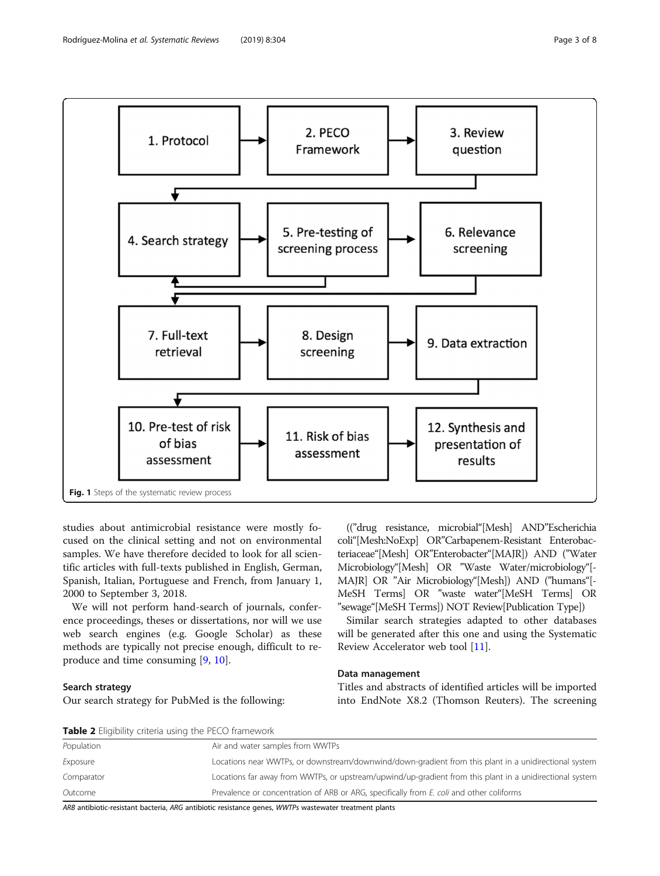<span id="page-2-0"></span>

studies about antimicrobial resistance were mostly focused on the clinical setting and not on environmental samples. We have therefore decided to look for all scientific articles with full-texts published in English, German, Spanish, Italian, Portuguese and French, from January 1, 2000 to September 3, 2018.

We will not perform hand-search of journals, conference proceedings, theses or dissertations, nor will we use web search engines (e.g. Google Scholar) as these methods are typically not precise enough, difficult to reproduce and time consuming [\[9](#page-7-0), [10](#page-7-0)].

#### Search strategy

Our search strategy for PubMed is the following:

(("drug resistance, microbial"[Mesh] AND"Escherichia coli"[Mesh:NoExp] OR"Carbapenem-Resistant Enterobacteriaceae"[Mesh] OR"Enterobacter"[MAJR]) AND ("Water Microbiology"[Mesh] OR "Waste Water/microbiology"[- MAJR] OR "Air Microbiology"[Mesh]) AND ("humans"[- MeSH Terms] OR "waste water"[MeSH Terms] OR "sewage"[MeSH Terms]) NOT Review[Publication Type])

Similar search strategies adapted to other databases will be generated after this one and using the Systematic Review Accelerator web tool [[11\]](#page-7-0).

#### Data management

Titles and abstracts of identified articles will be imported into EndNote X8.2 (Thomson Reuters). The screening

| <b>Table 2</b> Eligibility criteria using the PECO framework |                                                                                                          |  |  |
|--------------------------------------------------------------|----------------------------------------------------------------------------------------------------------|--|--|
| Population                                                   | Air and water samples from WWTPs                                                                         |  |  |
| Exposure                                                     | Locations near WWTPs, or downstream/downwind/down-gradient from this plant in a unidirectional system    |  |  |
| Comparator                                                   | Locations far away from WWTPs, or upstream/upwind/up-gradient from this plant in a unidirectional system |  |  |
| Outcome                                                      | Prevalence or concentration of ARB or ARG, specifically from E. coli and other coliforms                 |  |  |

ARB antibiotic-resistant bacteria, ARG antibiotic resistance genes, WWTPs wastewater treatment plants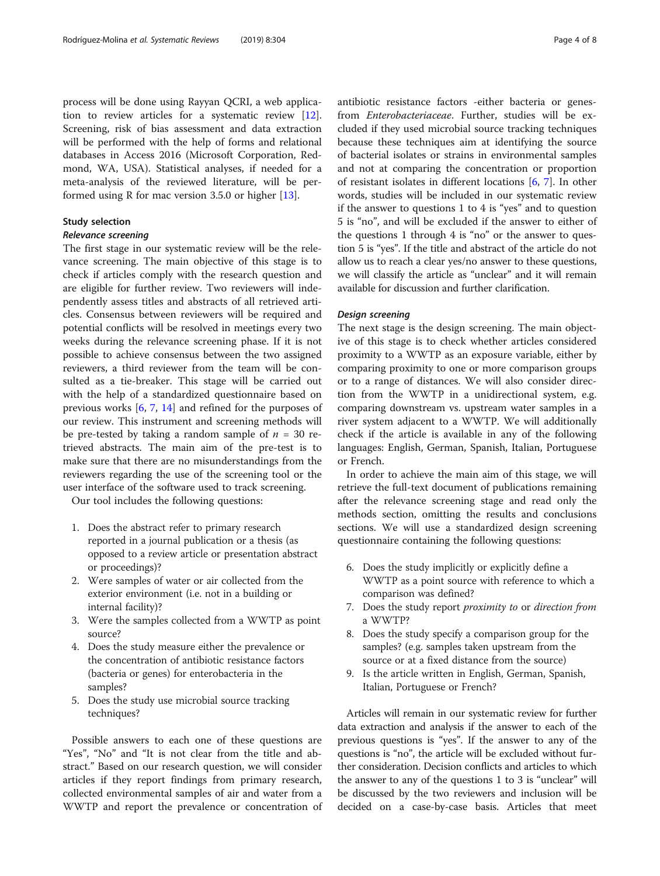process will be done using Rayyan QCRI, a web application to review articles for a systematic review [\[12](#page-7-0)]. Screening, risk of bias assessment and data extraction will be performed with the help of forms and relational databases in Access 2016 (Microsoft Corporation, Redmond, WA, USA). Statistical analyses, if needed for a meta-analysis of the reviewed literature, will be performed using R for mac version 3.5.0 or higher [\[13](#page-7-0)].

#### Study selection

The first stage in our systematic review will be the relevance screening. The main objective of this stage is to check if articles comply with the research question and are eligible for further review. Two reviewers will independently assess titles and abstracts of all retrieved articles. Consensus between reviewers will be required and potential conflicts will be resolved in meetings every two weeks during the relevance screening phase. If it is not possible to achieve consensus between the two assigned reviewers, a third reviewer from the team will be consulted as a tie-breaker. This stage will be carried out with the help of a standardized questionnaire based on previous works [\[6](#page-7-0), [7](#page-7-0), [14\]](#page-7-0) and refined for the purposes of our review. This instrument and screening methods will be pre-tested by taking a random sample of  $n = 30$  retrieved abstracts. The main aim of the pre-test is to make sure that there are no misunderstandings from the reviewers regarding the use of the screening tool or the user interface of the software used to track screening.

Our tool includes the following questions:

- 1. Does the abstract refer to primary research reported in a journal publication or a thesis (as opposed to a review article or presentation abstract or proceedings)?
- 2. Were samples of water or air collected from the exterior environment (i.e. not in a building or internal facility)?
- 3. Were the samples collected from a WWTP as point source?
- 4. Does the study measure either the prevalence or the concentration of antibiotic resistance factors (bacteria or genes) for enterobacteria in the samples?
- 5. Does the study use microbial source tracking techniques?

Possible answers to each one of these questions are "Yes", "No" and "It is not clear from the title and abstract." Based on our research question, we will consider articles if they report findings from primary research, collected environmental samples of air and water from a WWTP and report the prevalence or concentration of antibiotic resistance factors -either bacteria or genesfrom Enterobacteriaceae. Further, studies will be excluded if they used microbial source tracking techniques because these techniques aim at identifying the source of bacterial isolates or strains in environmental samples and not at comparing the concentration or proportion of resistant isolates in different locations [\[6](#page-7-0), [7\]](#page-7-0). In other words, studies will be included in our systematic review if the answer to questions 1 to 4 is "yes" and to question 5 is "no", and will be excluded if the answer to either of the questions 1 through 4 is "no" or the answer to question 5 is "yes". If the title and abstract of the article do not allow us to reach a clear yes/no answer to these questions, we will classify the article as "unclear" and it will remain available for discussion and further clarification.

The next stage is the design screening. The main objective of this stage is to check whether articles considered proximity to a WWTP as an exposure variable, either by comparing proximity to one or more comparison groups or to a range of distances. We will also consider direction from the WWTP in a unidirectional system, e.g. comparing downstream vs. upstream water samples in a river system adjacent to a WWTP. We will additionally check if the article is available in any of the following languages: English, German, Spanish, Italian, Portuguese or French.

In order to achieve the main aim of this stage, we will retrieve the full-text document of publications remaining after the relevance screening stage and read only the methods section, omitting the results and conclusions sections. We will use a standardized design screening questionnaire containing the following questions:

- 6. Does the study implicitly or explicitly define a WWTP as a point source with reference to which a comparison was defined?
- 7. Does the study report proximity to or direction from a WWTP?
- 8. Does the study specify a comparison group for the samples? (e.g. samples taken upstream from the source or at a fixed distance from the source)
- 9. Is the article written in English, German, Spanish, Italian, Portuguese or French?

Articles will remain in our systematic review for further data extraction and analysis if the answer to each of the previous questions is "yes". If the answer to any of the questions is "no", the article will be excluded without further consideration. Decision conflicts and articles to which the answer to any of the questions 1 to 3 is "unclear" will be discussed by the two reviewers and inclusion will be decided on a case-by-case basis. Articles that meet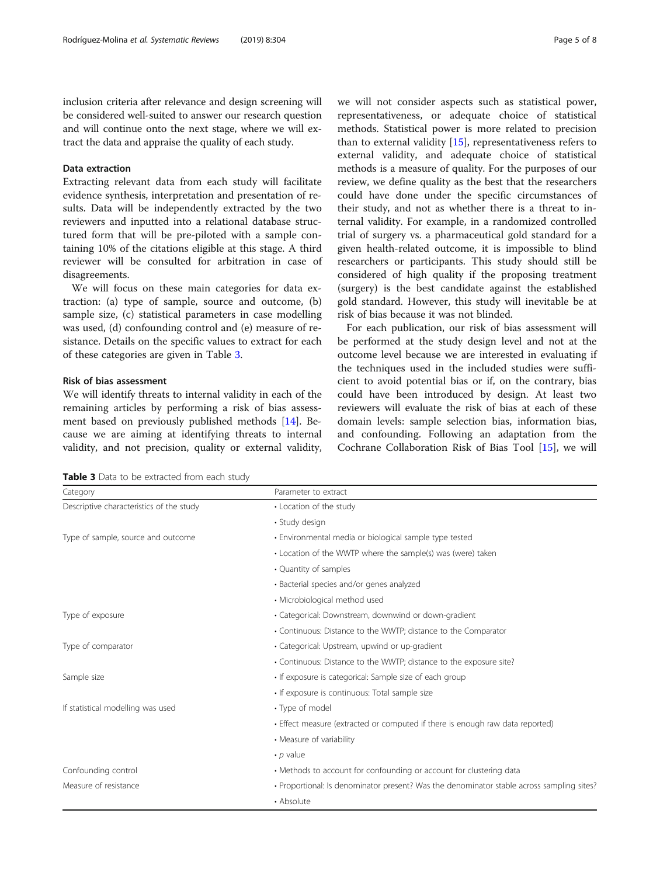inclusion criteria after relevance and design screening will be considered well-suited to answer our research question and will continue onto the next stage, where we will extract the data and appraise the quality of each study.

#### Data extraction

Extracting relevant data from each study will facilitate evidence synthesis, interpretation and presentation of results. Data will be independently extracted by the two reviewers and inputted into a relational database structured form that will be pre-piloted with a sample containing 10% of the citations eligible at this stage. A third reviewer will be consulted for arbitration in case of disagreements.

We will focus on these main categories for data extraction: (a) type of sample, source and outcome, (b) sample size, (c) statistical parameters in case modelling was used, (d) confounding control and (e) measure of resistance. Details on the specific values to extract for each of these categories are given in Table 3.

### Risk of bias assessment

We will identify threats to internal validity in each of the remaining articles by performing a risk of bias assessment based on previously published methods [\[14](#page-7-0)]. Because we are aiming at identifying threats to internal validity, and not precision, quality or external validity,

we will not consider aspects such as statistical power, representativeness, or adequate choice of statistical methods. Statistical power is more related to precision than to external validity  $[15]$  $[15]$ , representativeness refers to external validity, and adequate choice of statistical methods is a measure of quality. For the purposes of our review, we define quality as the best that the researchers could have done under the specific circumstances of their study, and not as whether there is a threat to internal validity. For example, in a randomized controlled trial of surgery vs. a pharmaceutical gold standard for a given health-related outcome, it is impossible to blind researchers or participants. This study should still be considered of high quality if the proposing treatment (surgery) is the best candidate against the established gold standard. However, this study will inevitable be at risk of bias because it was not blinded.

For each publication, our risk of bias assessment will be performed at the study design level and not at the outcome level because we are interested in evaluating if the techniques used in the included studies were sufficient to avoid potential bias or if, on the contrary, bias could have been introduced by design. At least two reviewers will evaluate the risk of bias at each of these domain levels: sample selection bias, information bias, and confounding. Following an adaptation from the Cochrane Collaboration Risk of Bias Tool [\[15](#page-7-0)], we will

Table 3 Data to be extracted from each study

| Category                                 | Parameter to extract                                                                      |  |
|------------------------------------------|-------------------------------------------------------------------------------------------|--|
| Descriptive characteristics of the study | • Location of the study                                                                   |  |
|                                          | • Study design                                                                            |  |
| Type of sample, source and outcome       | • Environmental media or biological sample type tested                                    |  |
|                                          | • Location of the WWTP where the sample(s) was (were) taken                               |  |
|                                          | • Quantity of samples                                                                     |  |
|                                          | • Bacterial species and/or genes analyzed                                                 |  |
|                                          | • Microbiological method used                                                             |  |
| Type of exposure                         | • Categorical: Downstream, downwind or down-gradient                                      |  |
|                                          | • Continuous: Distance to the WWTP; distance to the Comparator                            |  |
| Type of comparator                       | • Categorical: Upstream, upwind or up-gradient                                            |  |
|                                          | • Continuous: Distance to the WWTP; distance to the exposure site?                        |  |
| Sample size                              | • If exposure is categorical: Sample size of each group                                   |  |
|                                          | • If exposure is continuous: Total sample size                                            |  |
| If statistical modelling was used        | • Type of model                                                                           |  |
|                                          | • Effect measure (extracted or computed if there is enough raw data reported)             |  |
|                                          | • Measure of variability                                                                  |  |
|                                          | $\cdot$ p value                                                                           |  |
| Confounding control                      | • Methods to account for confounding or account for clustering data                       |  |
| Measure of resistance                    | · Proportional: Is denominator present? Was the denominator stable across sampling sites? |  |
|                                          | • Absolute                                                                                |  |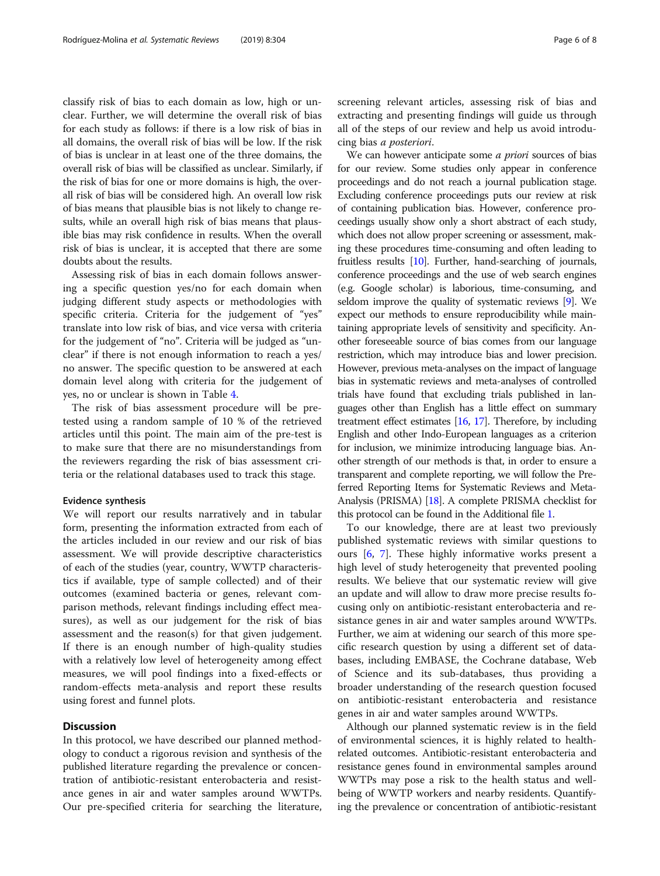classify risk of bias to each domain as low, high or unclear. Further, we will determine the overall risk of bias for each study as follows: if there is a low risk of bias in all domains, the overall risk of bias will be low. If the risk of bias is unclear in at least one of the three domains, the overall risk of bias will be classified as unclear. Similarly, if the risk of bias for one or more domains is high, the overall risk of bias will be considered high. An overall low risk of bias means that plausible bias is not likely to change results, while an overall high risk of bias means that plausible bias may risk confidence in results. When the overall risk of bias is unclear, it is accepted that there are some doubts about the results.

Assessing risk of bias in each domain follows answering a specific question yes/no for each domain when judging different study aspects or methodologies with specific criteria. Criteria for the judgement of "yes" translate into low risk of bias, and vice versa with criteria for the judgement of "no". Criteria will be judged as "unclear" if there is not enough information to reach a yes/ no answer. The specific question to be answered at each domain level along with criteria for the judgement of yes, no or unclear is shown in Table [4](#page-6-0).

The risk of bias assessment procedure will be pretested using a random sample of 10 % of the retrieved articles until this point. The main aim of the pre-test is to make sure that there are no misunderstandings from the reviewers regarding the risk of bias assessment criteria or the relational databases used to track this stage.

#### Evidence synthesis

We will report our results narratively and in tabular form, presenting the information extracted from each of the articles included in our review and our risk of bias assessment. We will provide descriptive characteristics of each of the studies (year, country, WWTP characteristics if available, type of sample collected) and of their outcomes (examined bacteria or genes, relevant comparison methods, relevant findings including effect measures), as well as our judgement for the risk of bias assessment and the reason(s) for that given judgement. If there is an enough number of high-quality studies with a relatively low level of heterogeneity among effect measures, we will pool findings into a fixed-effects or random-effects meta-analysis and report these results using forest and funnel plots.

#### **Discussion**

In this protocol, we have described our planned methodology to conduct a rigorous revision and synthesis of the published literature regarding the prevalence or concentration of antibiotic-resistant enterobacteria and resistance genes in air and water samples around WWTPs. Our pre-specified criteria for searching the literature, screening relevant articles, assessing risk of bias and extracting and presenting findings will guide us through all of the steps of our review and help us avoid introducing bias a posteriori.

We can however anticipate some *a priori* sources of bias for our review. Some studies only appear in conference proceedings and do not reach a journal publication stage. Excluding conference proceedings puts our review at risk of containing publication bias. However, conference proceedings usually show only a short abstract of each study, which does not allow proper screening or assessment, making these procedures time-consuming and often leading to fruitless results [\[10](#page-7-0)]. Further, hand-searching of journals, conference proceedings and the use of web search engines (e.g. Google scholar) is laborious, time-consuming, and seldom improve the quality of systematic reviews [\[9\]](#page-7-0). We expect our methods to ensure reproducibility while maintaining appropriate levels of sensitivity and specificity. Another foreseeable source of bias comes from our language restriction, which may introduce bias and lower precision. However, previous meta-analyses on the impact of language bias in systematic reviews and meta-analyses of controlled trials have found that excluding trials published in languages other than English has a little effect on summary treatment effect estimates [\[16](#page-7-0), [17](#page-7-0)]. Therefore, by including English and other Indo-European languages as a criterion for inclusion, we minimize introducing language bias. Another strength of our methods is that, in order to ensure a transparent and complete reporting, we will follow the Preferred Reporting Items for Systematic Reviews and Meta-Analysis (PRISMA) [[18](#page-7-0)]. A complete PRISMA checklist for this protocol can be found in the Additional file [1.](#page-7-0)

To our knowledge, there are at least two previously published systematic reviews with similar questions to ours [[6,](#page-7-0) [7\]](#page-7-0). These highly informative works present a high level of study heterogeneity that prevented pooling results. We believe that our systematic review will give an update and will allow to draw more precise results focusing only on antibiotic-resistant enterobacteria and resistance genes in air and water samples around WWTPs. Further, we aim at widening our search of this more specific research question by using a different set of databases, including EMBASE, the Cochrane database, Web of Science and its sub-databases, thus providing a broader understanding of the research question focused on antibiotic-resistant enterobacteria and resistance genes in air and water samples around WWTPs.

Although our planned systematic review is in the field of environmental sciences, it is highly related to healthrelated outcomes. Antibiotic-resistant enterobacteria and resistance genes found in environmental samples around WWTPs may pose a risk to the health status and wellbeing of WWTP workers and nearby residents. Quantifying the prevalence or concentration of antibiotic-resistant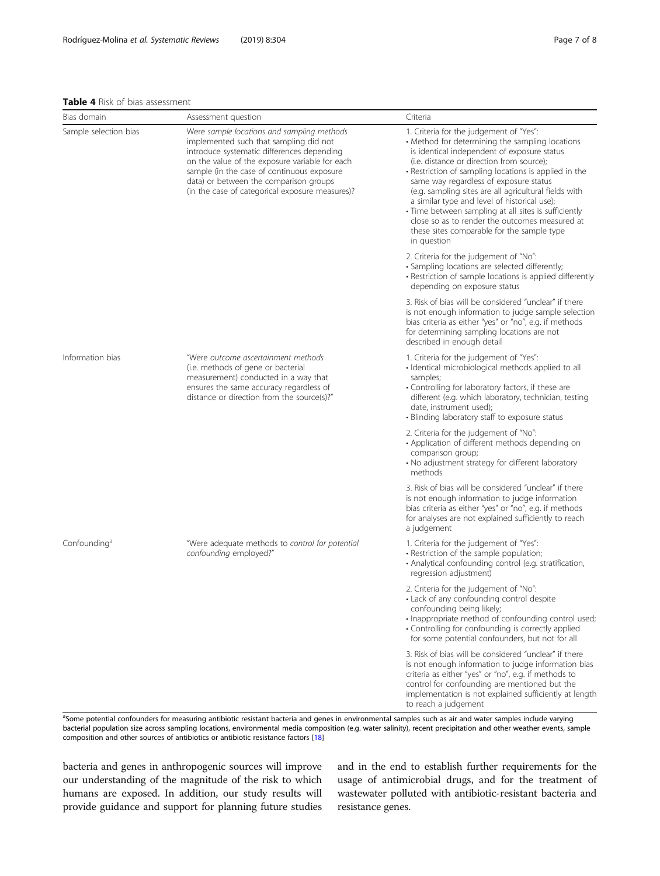#### <span id="page-6-0"></span>Table 4 Risk of bias assessment

| Bias domain              | Assessment question                                                                                                                                                                                                                                                                                                             | Criteria                                                                                                                                                                                                                                                                                                                                                                                                                                                                                                                                                                  |
|--------------------------|---------------------------------------------------------------------------------------------------------------------------------------------------------------------------------------------------------------------------------------------------------------------------------------------------------------------------------|---------------------------------------------------------------------------------------------------------------------------------------------------------------------------------------------------------------------------------------------------------------------------------------------------------------------------------------------------------------------------------------------------------------------------------------------------------------------------------------------------------------------------------------------------------------------------|
| Sample selection bias    | Were sample locations and sampling methods<br>implemented such that sampling did not<br>introduce systematic differences depending<br>on the value of the exposure variable for each<br>sample (in the case of continuous exposure<br>data) or between the comparison groups<br>(in the case of categorical exposure measures)? | 1. Criteria for the judgement of "Yes":<br>• Method for determining the sampling locations<br>is identical independent of exposure status<br>(i.e. distance or direction from source);<br>• Restriction of sampling locations is applied in the<br>same way regardless of exposure status<br>(e.g. sampling sites are all agricultural fields with<br>a similar type and level of historical use);<br>• Time between sampling at all sites is sufficiently<br>close so as to render the outcomes measured at<br>these sites comparable for the sample type<br>in question |
|                          |                                                                                                                                                                                                                                                                                                                                 | 2. Criteria for the judgement of "No":<br>· Sampling locations are selected differently;<br>• Restriction of sample locations is applied differently<br>depending on exposure status                                                                                                                                                                                                                                                                                                                                                                                      |
|                          |                                                                                                                                                                                                                                                                                                                                 | 3. Risk of bias will be considered "unclear" if there<br>is not enough information to judge sample selection<br>bias criteria as either "yes" or "no", e.g. if methods<br>for determining sampling locations are not<br>described in enough detail                                                                                                                                                                                                                                                                                                                        |
| Information bias         | "Were outcome ascertainment methods<br>(i.e. methods of gene or bacterial<br>measurement) conducted in a way that<br>ensures the same accuracy regardless of<br>distance or direction from the source(s)?"                                                                                                                      | 1. Criteria for the judgement of "Yes":<br>· Identical microbiological methods applied to all<br>samples;<br>• Controlling for laboratory factors, if these are<br>different (e.g. which laboratory, technician, testing<br>date, instrument used);<br>· Blinding laboratory staff to exposure status                                                                                                                                                                                                                                                                     |
|                          |                                                                                                                                                                                                                                                                                                                                 | 2. Criteria for the judgement of "No":<br>• Application of different methods depending on<br>comparison group;<br>• No adjustment strategy for different laboratory<br>methods                                                                                                                                                                                                                                                                                                                                                                                            |
|                          |                                                                                                                                                                                                                                                                                                                                 | 3. Risk of bias will be considered "unclear" if there<br>is not enough information to judge information<br>bias criteria as either "yes" or "no", e.g. if methods<br>for analyses are not explained sufficiently to reach<br>a judgement                                                                                                                                                                                                                                                                                                                                  |
| Confounding <sup>a</sup> | "Were adequate methods to control for potential<br>confounding employed?"                                                                                                                                                                                                                                                       | 1. Criteria for the judgement of "Yes":<br>• Restriction of the sample population;<br>· Analytical confounding control (e.g. stratification,<br>regression adjustment)                                                                                                                                                                                                                                                                                                                                                                                                    |
|                          |                                                                                                                                                                                                                                                                                                                                 | 2. Criteria for the judgement of "No":<br>• Lack of any confounding control despite<br>confounding being likely;<br>· Inappropriate method of confounding control used;<br>• Controlling for confounding is correctly applied<br>for some potential confounders, but not for all                                                                                                                                                                                                                                                                                          |
|                          |                                                                                                                                                                                                                                                                                                                                 | 3. Risk of bias will be considered "unclear" if there<br>is not enough information to judge information bias<br>criteria as either "yes" or "no", e.g. if methods to<br>control for confounding are mentioned but the<br>implementation is not explained sufficiently at length<br>to reach a judgement                                                                                                                                                                                                                                                                   |

<sup>a</sup>Some potential confounders for measuring antibiotic resistant bacteria and genes in environmental samples such as air and water samples include varying bacterial population size across sampling locations, environmental media composition (e.g. water salinity), recent precipitation and other weather events, sample composition and other sources of antibiotics or antibiotic resistance factors [\[18\]](#page-7-0)

bacteria and genes in anthropogenic sources will improve our understanding of the magnitude of the risk to which humans are exposed. In addition, our study results will provide guidance and support for planning future studies and in the end to establish further requirements for the usage of antimicrobial drugs, and for the treatment of wastewater polluted with antibiotic-resistant bacteria and resistance genes.